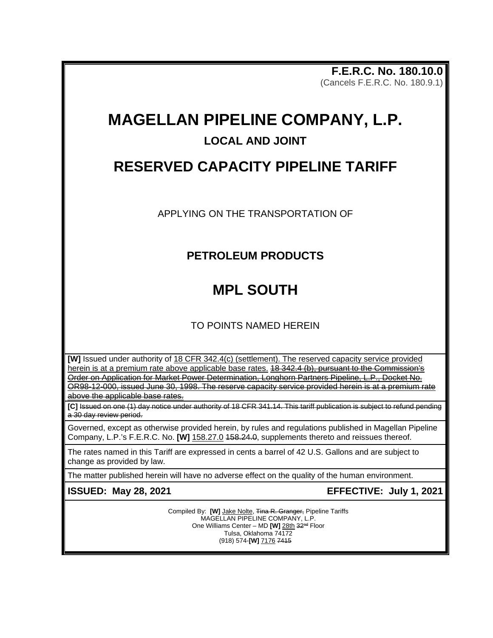**F.E.R.C. No. 180.10.0** (Cancels F.E.R.C. No. 180.9.1)

# **MAGELLAN PIPELINE COMPANY, L.P.**

#### **LOCAL AND JOINT**

## **RESERVED CAPACITY PIPELINE TARIFF**

APPLYING ON THE TRANSPORTATION OF

### **PETROLEUM PRODUCTS**

# **MPL SOUTH**

TO POINTS NAMED HEREIN

**[W]** Issued under authority of 18 CFR 342.4(c) (settlement). The reserved capacity service provided herein is at a premium rate above applicable base rates. 18 342.4 (b), pursuant to the Commission's Order on Application for Market Power Determination, Longhorn Partners Pipeline, L.P., Docket No. OR98-12-000, issued June 30, 1998. The reserve capacity service provided herein is at a premium rate above the applicable base rates.

**[C]** Issued on one (1) day notice under authority of 18 CFR 341.14. This tariff publication is subject to refund pending a 30 day review period.

Governed, except as otherwise provided herein, by rules and regulations published in Magellan Pipeline Company, L.P.'s F.E.R.C. No. **[W]** 158.27.0 458.24.0, supplements thereto and reissues thereof.

The rates named in this Tariff are expressed in cents a barrel of 42 U.S. Gallons and are subject to change as provided by law.

The matter published herein will have no adverse effect on the quality of the human environment.

**ISSUED: May 28, 2021 EFFECTIVE: July 1, 2021**

Compiled By: [W] Jake Nolte, Tina R. Granger, Pipeline Tariffs MAGELLAN PIPELINE COMPANY, L.P. One Williams Center - MD [W] 28th 32<sup>nd</sup> Floor Tulsa, Oklahoma 74172 (918) 574-**[W]** 7176 7415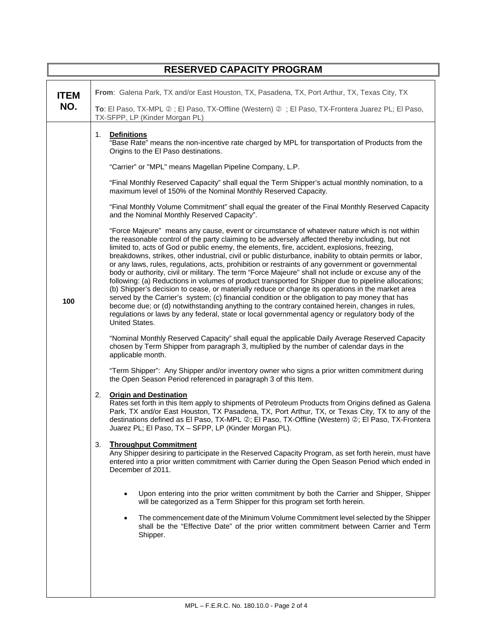| <b>RESERVED CAPACITY PROGRAM</b> |                                                                                                                                                                                                                                                                                                                                                                                                                                                                                                                                                                                                                                                                                                                                                                                                                                                                                                                                                                                                                                                                                                                                                                        |  |  |  |  |  |  |  |
|----------------------------------|------------------------------------------------------------------------------------------------------------------------------------------------------------------------------------------------------------------------------------------------------------------------------------------------------------------------------------------------------------------------------------------------------------------------------------------------------------------------------------------------------------------------------------------------------------------------------------------------------------------------------------------------------------------------------------------------------------------------------------------------------------------------------------------------------------------------------------------------------------------------------------------------------------------------------------------------------------------------------------------------------------------------------------------------------------------------------------------------------------------------------------------------------------------------|--|--|--|--|--|--|--|
| <b>ITEM</b><br>NO.               | From: Galena Park, TX and/or East Houston, TX, Pasadena, TX, Port Arthur, TX, Texas City, TX<br>To: El Paso, TX-MPL 2; El Paso, TX-Offline (Western) 2; El Paso, TX-Frontera Juarez PL; El Paso,                                                                                                                                                                                                                                                                                                                                                                                                                                                                                                                                                                                                                                                                                                                                                                                                                                                                                                                                                                       |  |  |  |  |  |  |  |
|                                  | TX-SFPP, LP (Kinder Morgan PL)                                                                                                                                                                                                                                                                                                                                                                                                                                                                                                                                                                                                                                                                                                                                                                                                                                                                                                                                                                                                                                                                                                                                         |  |  |  |  |  |  |  |
|                                  | 1.<br><b>Definitions</b><br>"Base Rate" means the non-incentive rate charged by MPL for transportation of Products from the<br>Origins to the El Paso destinations.<br>"Carrier" or "MPL" means Magellan Pipeline Company, L.P.                                                                                                                                                                                                                                                                                                                                                                                                                                                                                                                                                                                                                                                                                                                                                                                                                                                                                                                                        |  |  |  |  |  |  |  |
|                                  | "Final Monthly Reserved Capacity" shall equal the Term Shipper's actual monthly nomination, to a<br>maximum level of 150% of the Nominal Monthly Reserved Capacity.                                                                                                                                                                                                                                                                                                                                                                                                                                                                                                                                                                                                                                                                                                                                                                                                                                                                                                                                                                                                    |  |  |  |  |  |  |  |
|                                  | "Final Monthly Volume Commitment" shall equal the greater of the Final Monthly Reserved Capacity<br>and the Nominal Monthly Reserved Capacity".                                                                                                                                                                                                                                                                                                                                                                                                                                                                                                                                                                                                                                                                                                                                                                                                                                                                                                                                                                                                                        |  |  |  |  |  |  |  |
| 100                              | "Force Majeure" means any cause, event or circumstance of whatever nature which is not within<br>the reasonable control of the party claiming to be adversely affected thereby including, but not<br>limited to, acts of God or public enemy, the elements, fire, accident, explosions, freezing,<br>breakdowns, strikes, other industrial, civil or public disturbance, inability to obtain permits or labor,<br>or any laws, rules, regulations, acts, prohibition or restraints of any government or governmental<br>body or authority, civil or military. The term "Force Majeure" shall not include or excuse any of the<br>following: (a) Reductions in volumes of product transported for Shipper due to pipeline allocations;<br>(b) Shipper's decision to cease, or materially reduce or change its operations in the market area<br>served by the Carrier's system; (c) financial condition or the obligation to pay money that has<br>become due; or (d) notwithstanding anything to the contrary contained herein, changes in rules,<br>regulations or laws by any federal, state or local governmental agency or regulatory body of the<br>United States. |  |  |  |  |  |  |  |
|                                  | "Nominal Monthly Reserved Capacity" shall equal the applicable Daily Average Reserved Capacity<br>chosen by Term Shipper from paragraph 3, multiplied by the number of calendar days in the<br>applicable month.                                                                                                                                                                                                                                                                                                                                                                                                                                                                                                                                                                                                                                                                                                                                                                                                                                                                                                                                                       |  |  |  |  |  |  |  |
|                                  | "Term Shipper": Any Shipper and/or inventory owner who signs a prior written commitment during<br>the Open Season Period referenced in paragraph 3 of this Item.                                                                                                                                                                                                                                                                                                                                                                                                                                                                                                                                                                                                                                                                                                                                                                                                                                                                                                                                                                                                       |  |  |  |  |  |  |  |
|                                  | <b>Origin and Destination</b><br>2.<br>Rates set forth in this Item apply to shipments of Petroleum Products from Origins defined as Galena<br>Park, TX and/or East Houston, TX Pasadena, TX, Port Arthur, TX, or Texas City, TX to any of the<br>destinations defined as El Paso, TX-MPL 2; El Paso, TX-Offline (Western) 2; El Paso, TX-Frontera<br>Juarez PL; El Paso, TX - SFPP, LP (Kinder Morgan PL).                                                                                                                                                                                                                                                                                                                                                                                                                                                                                                                                                                                                                                                                                                                                                            |  |  |  |  |  |  |  |
|                                  | <b>Throughput Commitment</b><br>3.<br>Any Shipper desiring to participate in the Reserved Capacity Program, as set forth herein, must have<br>entered into a prior written commitment with Carrier during the Open Season Period which ended in<br>December of 2011.                                                                                                                                                                                                                                                                                                                                                                                                                                                                                                                                                                                                                                                                                                                                                                                                                                                                                                   |  |  |  |  |  |  |  |
|                                  | Upon entering into the prior written commitment by both the Carrier and Shipper, Shipper<br>will be categorized as a Term Shipper for this program set forth herein.                                                                                                                                                                                                                                                                                                                                                                                                                                                                                                                                                                                                                                                                                                                                                                                                                                                                                                                                                                                                   |  |  |  |  |  |  |  |
|                                  | The commencement date of the Minimum Volume Commitment level selected by the Shipper<br>shall be the "Effective Date" of the prior written commitment between Carrier and Term<br>Shipper.                                                                                                                                                                                                                                                                                                                                                                                                                                                                                                                                                                                                                                                                                                                                                                                                                                                                                                                                                                             |  |  |  |  |  |  |  |
|                                  |                                                                                                                                                                                                                                                                                                                                                                                                                                                                                                                                                                                                                                                                                                                                                                                                                                                                                                                                                                                                                                                                                                                                                                        |  |  |  |  |  |  |  |

 $\overline{\phantom{a}}$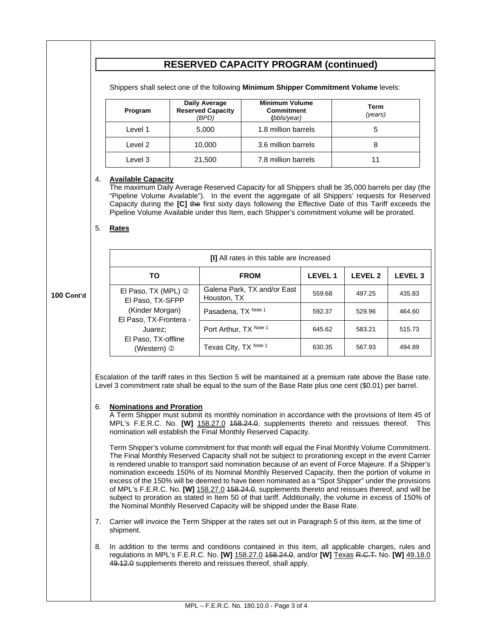|            | <b>RESERVED CAPACITY PROGRAM (continued)</b>                                                                                                                                                                                                                                                                                                                                                                                                                                                                                                                                                                                                                                                                                                                                                                                                                                                                                                                                                                                                                                                                                                                                                                                                                                                                                                                   |                                                                                                                                                                                                                                                                                                                                                                                                                                                           |        |                                                                                                                        |                                           |                |                        |                |  |  |  |
|------------|----------------------------------------------------------------------------------------------------------------------------------------------------------------------------------------------------------------------------------------------------------------------------------------------------------------------------------------------------------------------------------------------------------------------------------------------------------------------------------------------------------------------------------------------------------------------------------------------------------------------------------------------------------------------------------------------------------------------------------------------------------------------------------------------------------------------------------------------------------------------------------------------------------------------------------------------------------------------------------------------------------------------------------------------------------------------------------------------------------------------------------------------------------------------------------------------------------------------------------------------------------------------------------------------------------------------------------------------------------------|-----------------------------------------------------------------------------------------------------------------------------------------------------------------------------------------------------------------------------------------------------------------------------------------------------------------------------------------------------------------------------------------------------------------------------------------------------------|--------|------------------------------------------------------------------------------------------------------------------------|-------------------------------------------|----------------|------------------------|----------------|--|--|--|
|            | Shippers shall select one of the following Minimum Shipper Commitment Volume levels:                                                                                                                                                                                                                                                                                                                                                                                                                                                                                                                                                                                                                                                                                                                                                                                                                                                                                                                                                                                                                                                                                                                                                                                                                                                                           |                                                                                                                                                                                                                                                                                                                                                                                                                                                           |        |                                                                                                                        |                                           |                |                        |                |  |  |  |
|            |                                                                                                                                                                                                                                                                                                                                                                                                                                                                                                                                                                                                                                                                                                                                                                                                                                                                                                                                                                                                                                                                                                                                                                                                                                                                                                                                                                | Program                                                                                                                                                                                                                                                                                                                                                                                                                                                   |        | <b>Minimum Volume</b><br><b>Daily Average</b><br><b>Reserved Capacity</b><br><b>Commitment</b><br>(BPD)<br>(bbls/year) |                                           |                | <b>Term</b><br>(years) |                |  |  |  |
|            |                                                                                                                                                                                                                                                                                                                                                                                                                                                                                                                                                                                                                                                                                                                                                                                                                                                                                                                                                                                                                                                                                                                                                                                                                                                                                                                                                                | Level 1                                                                                                                                                                                                                                                                                                                                                                                                                                                   |        | 1.8 million barrels<br>5,000                                                                                           |                                           |                | 5                      |                |  |  |  |
|            |                                                                                                                                                                                                                                                                                                                                                                                                                                                                                                                                                                                                                                                                                                                                                                                                                                                                                                                                                                                                                                                                                                                                                                                                                                                                                                                                                                | Level 2                                                                                                                                                                                                                                                                                                                                                                                                                                                   |        |                                                                                                                        | 10,000<br>3.6 million barrels             |                | 8                      |                |  |  |  |
|            |                                                                                                                                                                                                                                                                                                                                                                                                                                                                                                                                                                                                                                                                                                                                                                                                                                                                                                                                                                                                                                                                                                                                                                                                                                                                                                                                                                | Level 3                                                                                                                                                                                                                                                                                                                                                                                                                                                   | 21,500 |                                                                                                                        | 7.8 million barrels                       |                | 11                     |                |  |  |  |
|            | 5.                                                                                                                                                                                                                                                                                                                                                                                                                                                                                                                                                                                                                                                                                                                                                                                                                                                                                                                                                                                                                                                                                                                                                                                                                                                                                                                                                             | 4.<br><b>Available Capacity</b><br>The maximum Daily Average Reserved Capacity for all Shippers shall be 35,000 barrels per day (the<br>"Pipeline Volume Available"). In the event the aggregate of all Shippers' requests for Reserved<br>Capacity during the [C] the first sixty days following the Effective Date of this Tariff exceeds the<br>Pipeline Volume Available under this Item, each Shipper's commitment volume will be prorated.<br>Rates |        |                                                                                                                        |                                           |                |                        |                |  |  |  |
|            |                                                                                                                                                                                                                                                                                                                                                                                                                                                                                                                                                                                                                                                                                                                                                                                                                                                                                                                                                                                                                                                                                                                                                                                                                                                                                                                                                                |                                                                                                                                                                                                                                                                                                                                                                                                                                                           |        |                                                                                                                        | [I] All rates in this table are Increased |                |                        |                |  |  |  |
|            |                                                                                                                                                                                                                                                                                                                                                                                                                                                                                                                                                                                                                                                                                                                                                                                                                                                                                                                                                                                                                                                                                                                                                                                                                                                                                                                                                                | TO                                                                                                                                                                                                                                                                                                                                                                                                                                                        |        |                                                                                                                        | <b>FROM</b>                               | <b>LEVEL 1</b> | <b>LEVEL 2</b>         | <b>LEVEL 3</b> |  |  |  |
| 100 Cont'd |                                                                                                                                                                                                                                                                                                                                                                                                                                                                                                                                                                                                                                                                                                                                                                                                                                                                                                                                                                                                                                                                                                                                                                                                                                                                                                                                                                | El Paso, TX (MPL) 2<br>El Paso, TX-SFPP                                                                                                                                                                                                                                                                                                                                                                                                                   |        | Houston, TX                                                                                                            | Galena Park, TX and/or East               | 559.68         | 497.25                 | 435.83         |  |  |  |
|            |                                                                                                                                                                                                                                                                                                                                                                                                                                                                                                                                                                                                                                                                                                                                                                                                                                                                                                                                                                                                                                                                                                                                                                                                                                                                                                                                                                | (Kinder Morgan)<br>El Paso, TX-Frontera -                                                                                                                                                                                                                                                                                                                                                                                                                 |        | Pasadena, TX Note 1                                                                                                    |                                           | 592.37         | 529.96                 | 464.60         |  |  |  |
|            |                                                                                                                                                                                                                                                                                                                                                                                                                                                                                                                                                                                                                                                                                                                                                                                                                                                                                                                                                                                                                                                                                                                                                                                                                                                                                                                                                                | Juarez:                                                                                                                                                                                                                                                                                                                                                                                                                                                   |        | Port Arthur, TX Note 1                                                                                                 |                                           | 645.62         | 583.21                 | 515.73         |  |  |  |
|            |                                                                                                                                                                                                                                                                                                                                                                                                                                                                                                                                                                                                                                                                                                                                                                                                                                                                                                                                                                                                                                                                                                                                                                                                                                                                                                                                                                | El Paso, TX-offline<br>(Western) 2                                                                                                                                                                                                                                                                                                                                                                                                                        |        | Texas City, TX Note 1                                                                                                  |                                           | 630.35         | 567.93                 | 494.89         |  |  |  |
|            | Escalation of the tariff rates in this Section 5 will be maintained at a premium rate above the Base rate.<br>Level 3 commitment rate shall be equal to the sum of the Base Rate plus one cent (\$0.01) per barrel.<br><b>Nominations and Proration</b><br>6.<br>A Term Shipper must submit its monthly nomination in accordance with the provisions of Item 45 of<br>MPL's F.E.R.C. No. [W] 158.27.0 458.24.0, supplements thereto and reissues thereof.<br>This.<br>nomination will establish the Final Monthly Reserved Capacity.<br>Term Shipper's volume commitment for that month will equal the Final Monthly Volume Commitment.<br>The Final Monthly Reserved Capacity shall not be subject to prorationing except in the event Carrier<br>is rendered unable to transport said nomination because of an event of Force Majeure. If a Shipper's<br>nomination exceeds 150% of its Nominal Monthly Reserved Capacity, then the portion of volume in<br>excess of the 150% will be deemed to have been nominated as a "Spot Shipper" under the provisions<br>of MPL's F.E.R.C. No. [W] 158.27.0 458.24.0, supplements thereto and reissues thereof, and will be<br>subject to proration as stated in Item 50 of that tariff. Additionally, the volume in excess of 150% of<br>the Nominal Monthly Reserved Capacity will be shipped under the Base Rate. |                                                                                                                                                                                                                                                                                                                                                                                                                                                           |        |                                                                                                                        |                                           |                |                        |                |  |  |  |
|            | 7.                                                                                                                                                                                                                                                                                                                                                                                                                                                                                                                                                                                                                                                                                                                                                                                                                                                                                                                                                                                                                                                                                                                                                                                                                                                                                                                                                             | Carrier will invoice the Term Shipper at the rates set out in Paragraph 5 of this item, at the time of<br>shipment.                                                                                                                                                                                                                                                                                                                                       |        |                                                                                                                        |                                           |                |                        |                |  |  |  |
|            | 8.                                                                                                                                                                                                                                                                                                                                                                                                                                                                                                                                                                                                                                                                                                                                                                                                                                                                                                                                                                                                                                                                                                                                                                                                                                                                                                                                                             | In addition to the terms and conditions contained in this item, all applicable charges, rules and<br>regulations in MPL's F.E.R.C. No. [W] 158.27.0 458.24.0, and/or [W] Texas R.C.T. No. [W] 49.18.0<br>49.12.0 supplements thereto and reissues thereof, shall apply.                                                                                                                                                                                   |        |                                                                                                                        |                                           |                |                        |                |  |  |  |